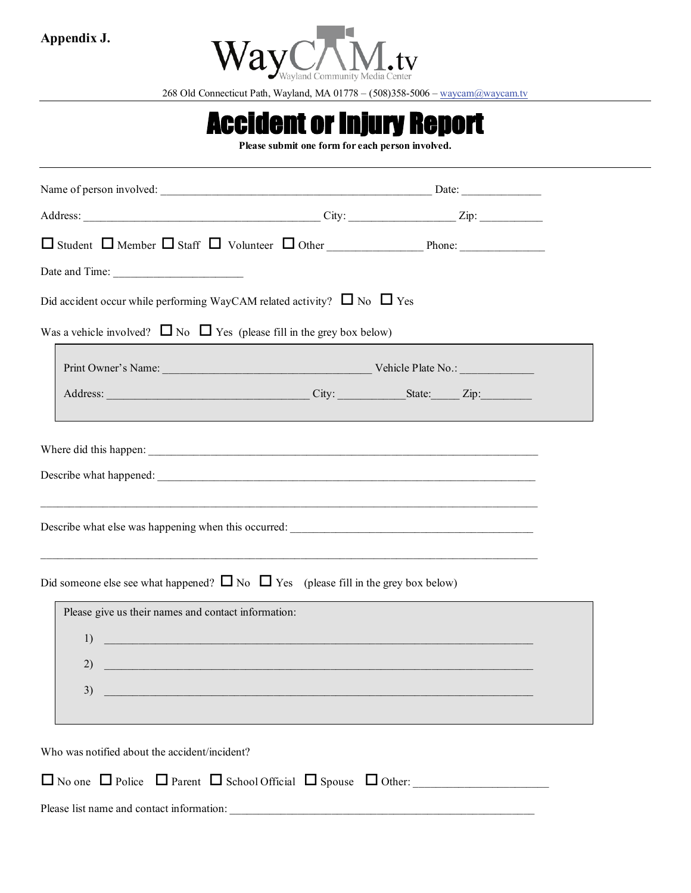

268 Old Connecticut Path, Wayland, MA 01778 – (508)358-5006 – [waycam@waycam.tv](mailto:info@waycam.tv)

## Accident or Injury Report

Please submit one form for each person involved.

| Did accident occur while performing WayCAM related activity? $\Box$ No $\Box$ Yes            |                                                                                                                       |  |  |  |  |
|----------------------------------------------------------------------------------------------|-----------------------------------------------------------------------------------------------------------------------|--|--|--|--|
| Was a vehicle involved? $\Box$ No $\Box$ Yes (please fill in the grey box below)             |                                                                                                                       |  |  |  |  |
|                                                                                              |                                                                                                                       |  |  |  |  |
|                                                                                              |                                                                                                                       |  |  |  |  |
|                                                                                              |                                                                                                                       |  |  |  |  |
|                                                                                              |                                                                                                                       |  |  |  |  |
|                                                                                              |                                                                                                                       |  |  |  |  |
|                                                                                              |                                                                                                                       |  |  |  |  |
|                                                                                              |                                                                                                                       |  |  |  |  |
| ,我们也不能在这里的时候,我们也不能在这里的时候,我们也不能在这里的时候,我们也不能会在这里的时候,我们也不能会在这里的时候,我们也不能会在这里的时候,我们也不             |                                                                                                                       |  |  |  |  |
| Did someone else see what happened? $\Box$ No $\Box$ Yes (please fill in the grey box below) |                                                                                                                       |  |  |  |  |
| Please give us their names and contact information:                                          |                                                                                                                       |  |  |  |  |
| 1)                                                                                           | <u> 1989 - Johann John Stein, marwolaeth a bhannaich an t-</u>                                                        |  |  |  |  |
| 2)                                                                                           | <u> 1989 - Johann Stein, marwolaethau a bhann an t-Amhainn an t-Amhainn an t-Amhainn an t-Amhainn an t-Amhainn an</u> |  |  |  |  |
| 3)                                                                                           |                                                                                                                       |  |  |  |  |
|                                                                                              |                                                                                                                       |  |  |  |  |
|                                                                                              |                                                                                                                       |  |  |  |  |
| Who was notified about the accident/incident?                                                |                                                                                                                       |  |  |  |  |
| $\Box$ No one $\Box$ Police $\Box$ Parent $\Box$ School Official $\Box$ Spouse $\Box$ Other: |                                                                                                                       |  |  |  |  |
| Please list name and contact information:                                                    |                                                                                                                       |  |  |  |  |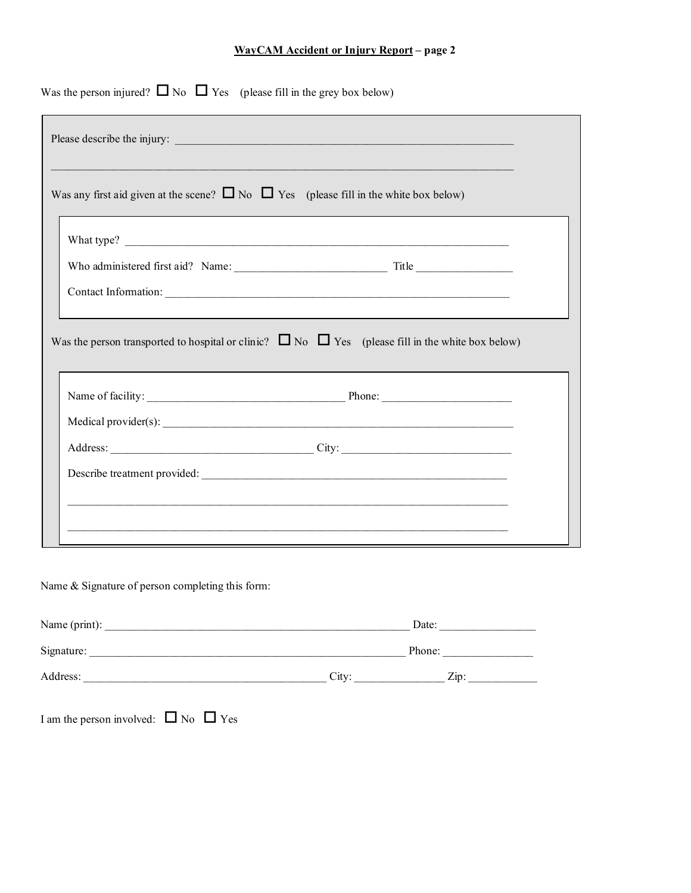## **WayCAM Accident or Injury Report – page 2**

| Was any first aid given at the scene? $\Box$ No $\Box$ Yes (please fill in the white box below)             |  |
|-------------------------------------------------------------------------------------------------------------|--|
|                                                                                                             |  |
|                                                                                                             |  |
|                                                                                                             |  |
|                                                                                                             |  |
| Was the person transported to hospital or clinic? $\Box$ No $\Box$ Yes (please fill in the white box below) |  |
|                                                                                                             |  |
|                                                                                                             |  |
|                                                                                                             |  |

Name & Signature of person completing this form:

| Name (print): |                   | Date:            |
|---------------|-------------------|------------------|
| Signature:    |                   | Phone:           |
| Address:      | City <sup>-</sup> | $\mathsf{Z}$ ip: |

I am the person involved:  $\Box$  No  $\Box$  Yes